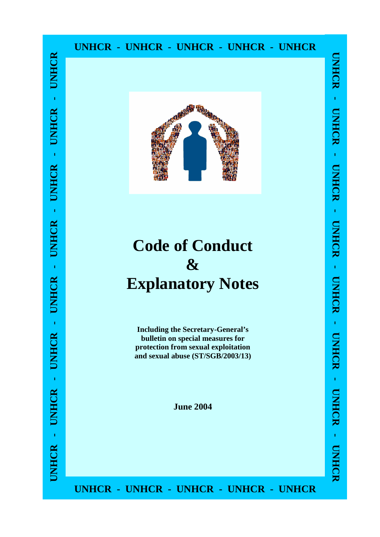#### **UNHCR - UNHCR - UNHCR - UNHCR - UNHCR**



# **Code of Conduct & Explanatory Notes**

**Including the Secretary-General's bulletin on special measures for protection from sexual exploitation and sexual abuse (ST/SGB/2003/13)** 

**June 2004** 

**UNHCR - UNHCR - UNHCR - UNHCR - UNHCR**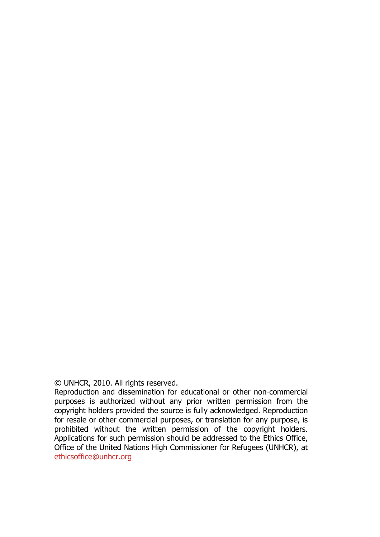© UNHCR, 2010. All rights reserved.

Reproduction and dissemination for educational or other non-commercial purposes is authorized without any prior written permission from the copyright holders provided the source is fully acknowledged. Reproduction for resale or other commercial purposes, or translation for any purpose, is prohibited without the written permission of the copyright holders. Applications for such permission should be addressed to the Ethics Office, Office of the United Nations High Commissioner for Refugees (UNHCR), at ethicsoffice@unhcr.org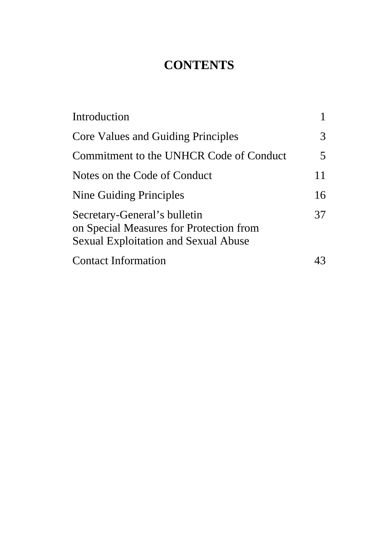# **CONTENTS**

| Introduction                                                                                                           |    |
|------------------------------------------------------------------------------------------------------------------------|----|
| <b>Core Values and Guiding Principles</b>                                                                              | 3  |
| Commitment to the UNHCR Code of Conduct                                                                                | 5  |
| Notes on the Code of Conduct                                                                                           | 11 |
| Nine Guiding Principles                                                                                                | 16 |
| Secretary-General's bulletin<br>on Special Measures for Protection from<br><b>Sexual Exploitation and Sexual Abuse</b> | 37 |
| <b>Contact Information</b>                                                                                             |    |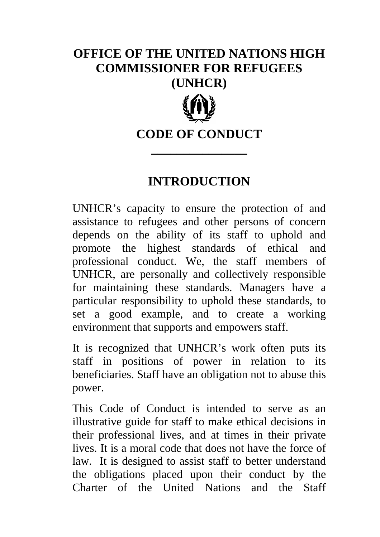# **OFFICE OF THE UNITED NATIONS HIGH COMMISSIONER FOR REFUGEES (UNHCR)**



### **CODE OF CONDUCT**

**\_\_\_\_\_\_\_\_\_\_\_\_\_\_\_** 

### **INTRODUCTION**

UNHCR's capacity to ensure the protection of and assistance to refugees and other persons of concern depends on the ability of its staff to uphold and promote the highest standards of ethical and professional conduct. We, the staff members of UNHCR, are personally and collectively responsible for maintaining these standards. Managers have a particular responsibility to uphold these standards, to set a good example, and to create a working environment that supports and empowers staff.

It is recognized that UNHCR's work often puts its staff in positions of power in relation to its beneficiaries. Staff have an obligation not to abuse this power.

This Code of Conduct is intended to serve as an illustrative guide for staff to make ethical decisions in their professional lives, and at times in their private lives. It is a moral code that does not have the force of law. It is designed to assist staff to better understand the obligations placed upon their conduct by the Charter of the United Nations and the Staff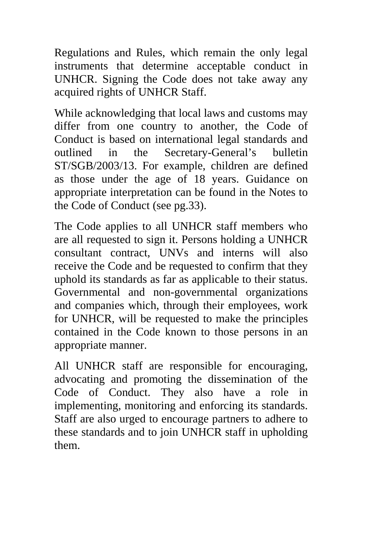Regulations and Rules, which remain the only legal instruments that determine acceptable conduct in UNHCR. Signing the Code does not take away any acquired rights of UNHCR Staff.

While acknowledging that local laws and customs may differ from one country to another, the Code of Conduct is based on international legal standards and outlined in the Secretary-General's bulletin ST/SGB/2003/13. For example, children are defined as those under the age of 18 years. Guidance on appropriate interpretation can be found in the Notes to the Code of Conduct (see pg.33).

The Code applies to all UNHCR staff members who are all requested to sign it. Persons holding a UNHCR consultant contract, UNVs and interns will also receive the Code and be requested to confirm that they uphold its standards as far as applicable to their status. Governmental and non-governmental organizations and companies which, through their employees, work for UNHCR, will be requested to make the principles contained in the Code known to those persons in an appropriate manner.

All UNHCR staff are responsible for encouraging, advocating and promoting the dissemination of the Code of Conduct. They also have a role in implementing, monitoring and enforcing its standards. Staff are also urged to encourage partners to adhere to these standards and to join UNHCR staff in upholding them.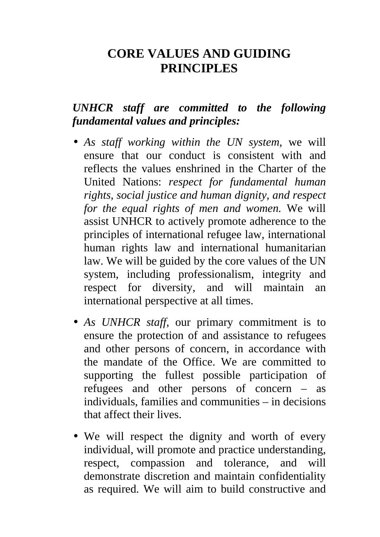### **CORE VALUES AND GUIDING PRINCIPLES**

#### *UNHCR staff are committed to the following fundamental values and principles:*

- *As staff working within the UN system*, we will ensure that our conduct is consistent with and reflects the values enshrined in the Charter of the United Nations: *respect for fundamental human rights, social justice and human dignity, and respect for the equal rights of men and women.* We will assist UNHCR to actively promote adherence to the principles of international refugee law, international human rights law and international humanitarian law. We will be guided by the core values of the UN system, including professionalism, integrity and respect for diversity, and will maintain an international perspective at all times.
- *As UNHCR staff*, our primary commitment is to ensure the protection of and assistance to refugees and other persons of concern, in accordance with the mandate of the Office. We are committed to supporting the fullest possible participation of refugees and other persons of concern – as individuals, families and communities – in decisions that affect their lives.
- We will respect the dignity and worth of every individual, will promote and practice understanding, respect, compassion and tolerance, and will demonstrate discretion and maintain confidentiality as required. We will aim to build constructive and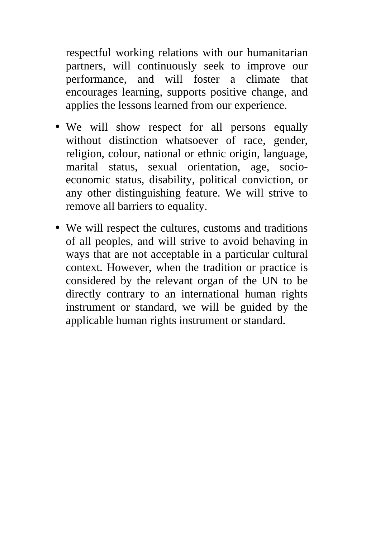respectful working relations with our humanitarian partners, will continuously seek to improve our performance, and will foster a climate that encourages learning, supports positive change, and applies the lessons learned from our experience.

- We will show respect for all persons equally without distinction whatsoever of race, gender, religion, colour, national or ethnic origin, language, marital status, sexual orientation, age, socioeconomic status, disability, political conviction, or any other distinguishing feature. We will strive to remove all barriers to equality.
- We will respect the cultures, customs and traditions of all peoples, and will strive to avoid behaving in ways that are not acceptable in a particular cultural context. However, when the tradition or practice is considered by the relevant organ of the UN to be directly contrary to an international human rights instrument or standard, we will be guided by the applicable human rights instrument or standard.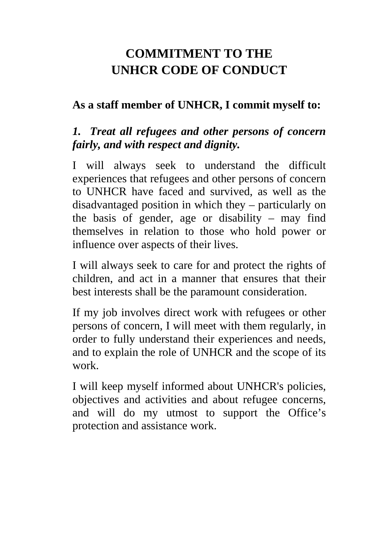# **COMMITMENT TO THE UNHCR CODE OF CONDUCT**

#### **As a staff member of UNHCR, I commit myself to:**

### *1. Treat all refugees and other persons of concern fairly, and with respect and dignity.*

I will always seek to understand the difficult experiences that refugees and other persons of concern to UNHCR have faced and survived, as well as the disadvantaged position in which they – particularly on the basis of gender, age or disability – may find themselves in relation to those who hold power or influence over aspects of their lives.

I will always seek to care for and protect the rights of children, and act in a manner that ensures that their best interests shall be the paramount consideration.

If my job involves direct work with refugees or other persons of concern, I will meet with them regularly, in order to fully understand their experiences and needs, and to explain the role of UNHCR and the scope of its work.

I will keep myself informed about UNHCR's policies, objectives and activities and about refugee concerns, and will do my utmost to support the Office's protection and assistance work.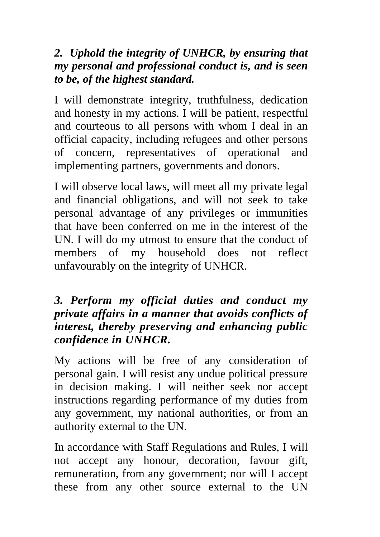### *2. Uphold the integrity of UNHCR, by ensuring that my personal and professional conduct is, and is seen to be, of the highest standard.*

I will demonstrate integrity, truthfulness, dedication and honesty in my actions. I will be patient, respectful and courteous to all persons with whom I deal in an official capacity, including refugees and other persons of concern, representatives of operational and implementing partners, governments and donors.

I will observe local laws, will meet all my private legal and financial obligations, and will not seek to take personal advantage of any privileges or immunities that have been conferred on me in the interest of the UN. I will do my utmost to ensure that the conduct of members of my household does not reflect unfavourably on the integrity of UNHCR.

#### *3. Perform my official duties and conduct my private affairs in a manner that avoids conflicts of interest, thereby preserving and enhancing public confidence in UNHCR.*

My actions will be free of any consideration of personal gain. I will resist any undue political pressure in decision making. I will neither seek nor accept instructions regarding performance of my duties from any government, my national authorities, or from an authority external to the UN.

In accordance with Staff Regulations and Rules, I will not accept any honour, decoration, favour gift, remuneration, from any government; nor will I accept these from any other source external to the UN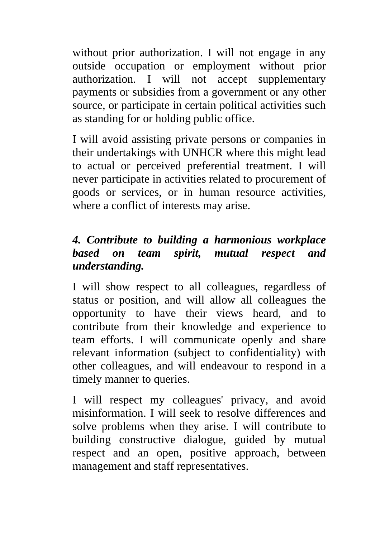without prior authorization. I will not engage in any outside occupation or employment without prior authorization. I will not accept supplementary payments or subsidies from a government or any other source, or participate in certain political activities such as standing for or holding public office.

I will avoid assisting private persons or companies in their undertakings with UNHCR where this might lead to actual or perceived preferential treatment. I will never participate in activities related to procurement of goods or services, or in human resource activities, where a conflict of interests may arise.

### *4. Contribute to building a harmonious workplace based on team spirit, mutual respect and understanding.*

I will show respect to all colleagues, regardless of status or position, and will allow all colleagues the opportunity to have their views heard, and to contribute from their knowledge and experience to team efforts. I will communicate openly and share relevant information (subject to confidentiality) with other colleagues, and will endeavour to respond in a timely manner to queries.

I will respect my colleagues' privacy, and avoid misinformation. I will seek to resolve differences and solve problems when they arise. I will contribute to building constructive dialogue, guided by mutual respect and an open, positive approach, between management and staff representatives.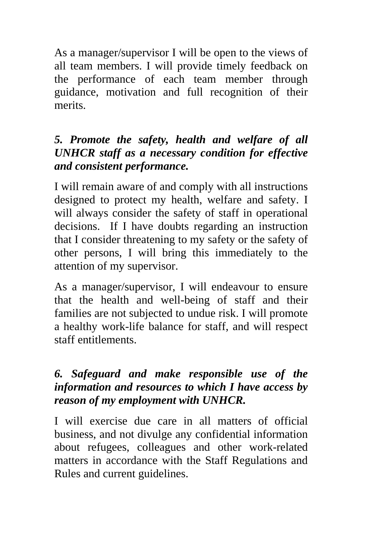As a manager/supervisor I will be open to the views of all team members. I will provide timely feedback on the performance of each team member through guidance, motivation and full recognition of their merits.

### *5. Promote the safety, health and welfare of all UNHCR staff as a necessary condition for effective and consistent performance.*

I will remain aware of and comply with all instructions designed to protect my health, welfare and safety. I will always consider the safety of staff in operational decisions. If I have doubts regarding an instruction that I consider threatening to my safety or the safety of other persons, I will bring this immediately to the attention of my supervisor.

As a manager/supervisor, I will endeavour to ensure that the health and well-being of staff and their families are not subjected to undue risk. I will promote a healthy work-life balance for staff, and will respect staff entitlements.

#### *6. Safeguard and make responsible use of the information and resources to which I have access by reason of my employment with UNHCR.*

I will exercise due care in all matters of official business, and not divulge any confidential information about refugees, colleagues and other work-related matters in accordance with the Staff Regulations and Rules and current guidelines.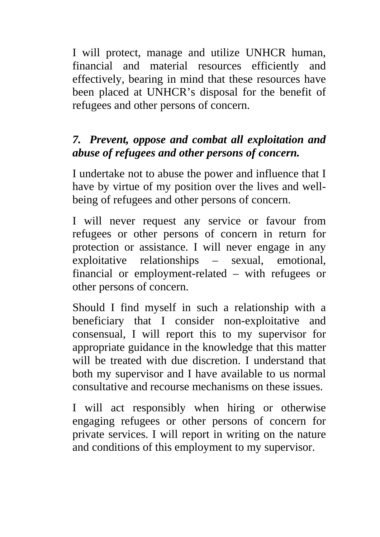I will protect, manage and utilize UNHCR human, financial and material resources efficiently and effectively, bearing in mind that these resources have been placed at UNHCR's disposal for the benefit of refugees and other persons of concern.

### *7. Prevent, oppose and combat all exploitation and abuse of refugees and other persons of concern.*

I undertake not to abuse the power and influence that I have by virtue of my position over the lives and wellbeing of refugees and other persons of concern.

I will never request any service or favour from refugees or other persons of concern in return for protection or assistance. I will never engage in any exploitative relationships – sexual, emotional, financial or employment-related – with refugees or other persons of concern.

Should I find myself in such a relationship with a beneficiary that I consider non-exploitative and consensual, I will report this to my supervisor for appropriate guidance in the knowledge that this matter will be treated with due discretion. I understand that both my supervisor and I have available to us normal consultative and recourse mechanisms on these issues.

I will act responsibly when hiring or otherwise engaging refugees or other persons of concern for private services. I will report in writing on the nature and conditions of this employment to my supervisor.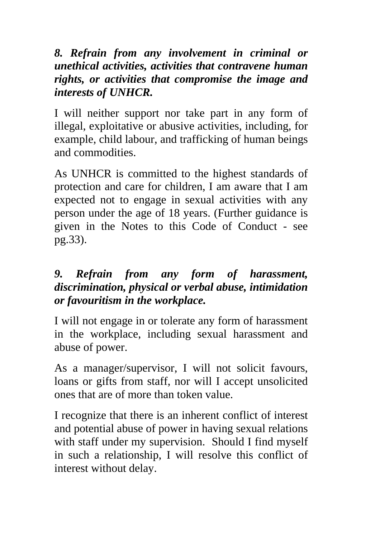#### *8. Refrain from any involvement in criminal or unethical activities, activities that contravene human rights, or activities that compromise the image and interests of UNHCR.*

I will neither support nor take part in any form of illegal, exploitative or abusive activities, including, for example, child labour, and trafficking of human beings and commodities.

As UNHCR is committed to the highest standards of protection and care for children, I am aware that I am expected not to engage in sexual activities with any person under the age of 18 years. (Further guidance is given in the Notes to this Code of Conduct - see pg.33).

### *9. Refrain from any form of harassment, discrimination, physical or verbal abuse, intimidation or favouritism in the workplace.*

I will not engage in or tolerate any form of harassment in the workplace, including sexual harassment and abuse of power.

As a manager/supervisor, I will not solicit favours, loans or gifts from staff, nor will I accept unsolicited ones that are of more than token value.

I recognize that there is an inherent conflict of interest and potential abuse of power in having sexual relations with staff under my supervision. Should I find myself in such a relationship, I will resolve this conflict of interest without delay.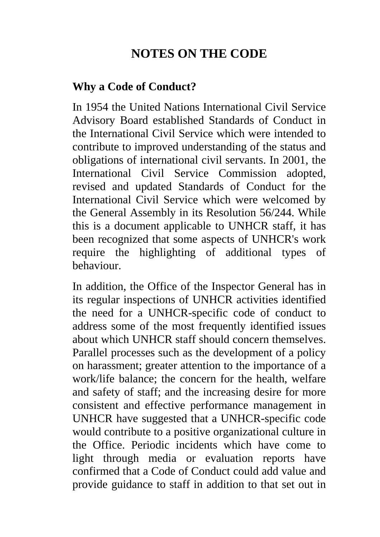# **NOTES ON THE CODE**

#### **Why a Code of Conduct?**

In 1954 the United Nations International Civil Service Advisory Board established Standards of Conduct in the International Civil Service which were intended to contribute to improved understanding of the status and obligations of international civil servants. In 2001, the International Civil Service Commission adopted, revised and updated Standards of Conduct for the International Civil Service which were welcomed by the General Assembly in its Resolution 56/244. While this is a document applicable to UNHCR staff, it has been recognized that some aspects of UNHCR's work require the highlighting of additional types of behaviour.

In addition, the Office of the Inspector General has in its regular inspections of UNHCR activities identified the need for a UNHCR-specific code of conduct to address some of the most frequently identified issues about which UNHCR staff should concern themselves. Parallel processes such as the development of a policy on harassment; greater attention to the importance of a work/life balance; the concern for the health, welfare and safety of staff; and the increasing desire for more consistent and effective performance management in UNHCR have suggested that a UNHCR-specific code would contribute to a positive organizational culture in the Office. Periodic incidents which have come to light through media or evaluation reports have confirmed that a Code of Conduct could add value and provide guidance to staff in addition to that set out in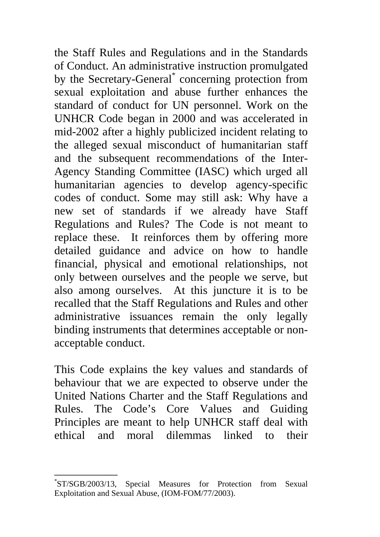the Staff Rules and Regulations and in the Standards of Conduct. An administrative instruction promulgated by the Secretary-General\* concerning protection from sexual exploitation and abuse further enhances the standard of conduct for UN personnel. Work on the UNHCR Code began in 2000 and was accelerated in mid-2002 after a highly publicized incident relating to the alleged sexual misconduct of humanitarian staff and the subsequent recommendations of the Inter-Agency Standing Committee (IASC) which urged all humanitarian agencies to develop agency-specific codes of conduct. Some may still ask: Why have a new set of standards if we already have Staff Regulations and Rules? The Code is not meant to replace these. It reinforces them by offering more detailed guidance and advice on how to handle financial, physical and emotional relationships, not only between ourselves and the people we serve, but also among ourselves. At this juncture it is to be recalled that the Staff Regulations and Rules and other administrative issuances remain the only legally binding instruments that determines acceptable or nonacceptable conduct.

This Code explains the key values and standards of behaviour that we are expected to observe under the United Nations Charter and the Staff Regulations and Rules. The Code's Core Values and Guiding Principles are meant to help UNHCR staff deal with ethical and moral dilemmas linked to their

<sup>\*</sup> ST/SGB/2003/13, Special Measures for Protection from Sexual Exploitation and Sexual Abuse, (IOM-FOM/77/2003).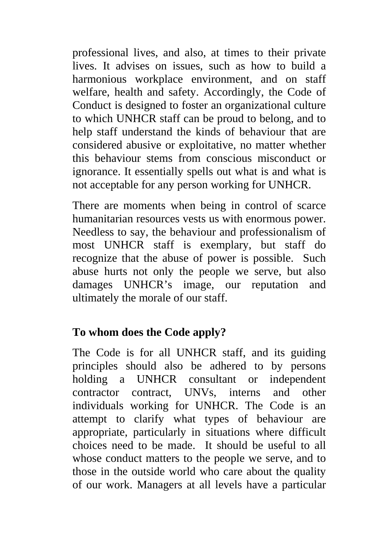professional lives, and also, at times to their private lives. It advises on issues, such as how to build a harmonious workplace environment, and on staff welfare, health and safety. Accordingly, the Code of Conduct is designed to foster an organizational culture to which UNHCR staff can be proud to belong, and to help staff understand the kinds of behaviour that are considered abusive or exploitative, no matter whether this behaviour stems from conscious misconduct or ignorance. It essentially spells out what is and what is not acceptable for any person working for UNHCR.

There are moments when being in control of scarce humanitarian resources vests us with enormous power. Needless to say, the behaviour and professionalism of most UNHCR staff is exemplary, but staff do recognize that the abuse of power is possible. Such abuse hurts not only the people we serve, but also damages UNHCR's image, our reputation and ultimately the morale of our staff.

#### **To whom does the Code apply?**

The Code is for all UNHCR staff, and its guiding principles should also be adhered to by persons holding a UNHCR consultant or independent contractor contract, UNVs, interns and other individuals working for UNHCR. The Code is an attempt to clarify what types of behaviour are appropriate, particularly in situations where difficult choices need to be made. It should be useful to all whose conduct matters to the people we serve, and to those in the outside world who care about the quality of our work. Managers at all levels have a particular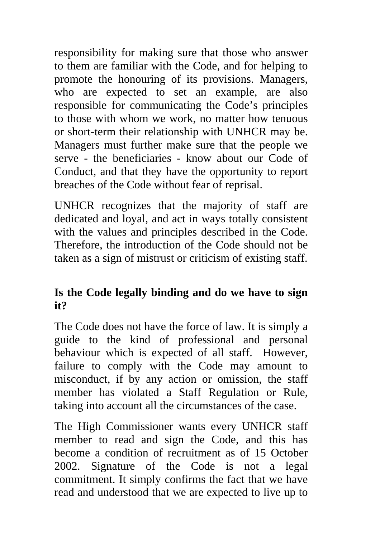responsibility for making sure that those who answer to them are familiar with the Code, and for helping to promote the honouring of its provisions. Managers, who are expected to set an example, are also responsible for communicating the Code's principles to those with whom we work, no matter how tenuous or short-term their relationship with UNHCR may be. Managers must further make sure that the people we serve - the beneficiaries - know about our Code of Conduct, and that they have the opportunity to report breaches of the Code without fear of reprisal.

UNHCR recognizes that the majority of staff are dedicated and loyal, and act in ways totally consistent with the values and principles described in the Code. Therefore, the introduction of the Code should not be taken as a sign of mistrust or criticism of existing staff.

#### **Is the Code legally binding and do we have to sign it?**

The Code does not have the force of law. It is simply a guide to the kind of professional and personal behaviour which is expected of all staff. However, failure to comply with the Code may amount to misconduct, if by any action or omission, the staff member has violated a Staff Regulation or Rule, taking into account all the circumstances of the case.

The High Commissioner wants every UNHCR staff member to read and sign the Code, and this has become a condition of recruitment as of 15 October 2002. Signature of the Code is not a legal commitment. It simply confirms the fact that we have read and understood that we are expected to live up to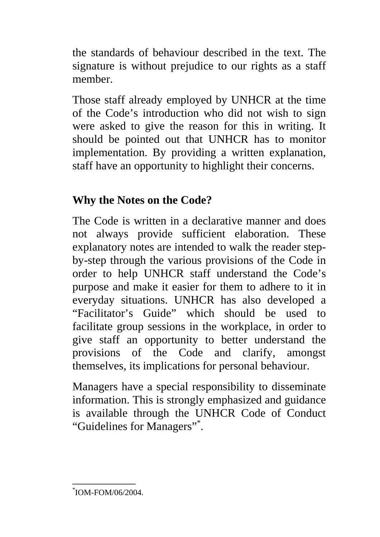the standards of behaviour described in the text. The signature is without prejudice to our rights as a staff member.

Those staff already employed by UNHCR at the time of the Code's introduction who did not wish to sign were asked to give the reason for this in writing. It should be pointed out that UNHCR has to monitor implementation. By providing a written explanation, staff have an opportunity to highlight their concerns.

### **Why the Notes on the Code?**

The Code is written in a declarative manner and does not always provide sufficient elaboration. These explanatory notes are intended to walk the reader stepby-step through the various provisions of the Code in order to help UNHCR staff understand the Code's purpose and make it easier for them to adhere to it in everyday situations. UNHCR has also developed a "Facilitator's Guide" which should be used to facilitate group sessions in the workplace, in order to give staff an opportunity to better understand the provisions of the Code and clarify, amongst themselves, its implications for personal behaviour.

Managers have a special responsibility to disseminate information. This is strongly emphasized and guidance is available through the UNHCR Code of Conduct "Guidelines for Managers"\*.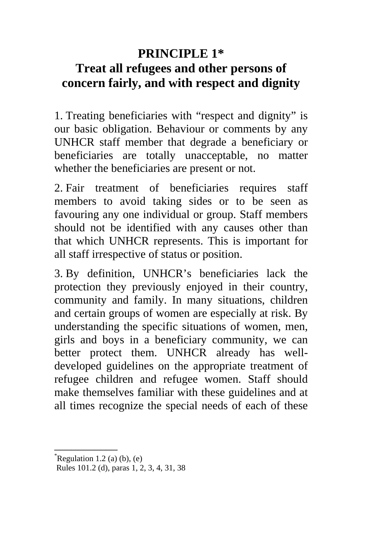## **PRINCIPLE 1\* Treat all refugees and other persons of concern fairly, and with respect and dignity**

1. Treating beneficiaries with "respect and dignity" is our basic obligation. Behaviour or comments by any UNHCR staff member that degrade a beneficiary or beneficiaries are totally unacceptable, no matter whether the beneficiaries are present or not.

2. Fair treatment of beneficiaries requires staff members to avoid taking sides or to be seen as favouring any one individual or group. Staff members should not be identified with any causes other than that which UNHCR represents. This is important for all staff irrespective of status or position.

3. By definition, UNHCR's beneficiaries lack the protection they previously enjoyed in their country, community and family. In many situations, children and certain groups of women are especially at risk. By understanding the specific situations of women, men, girls and boys in a beneficiary community, we can better protect them. UNHCR already has welldeveloped guidelines on the appropriate treatment of refugee children and refugee women. Staff should make themselves familiar with these guidelines and at all times recognize the special needs of each of these

 $R$ egulation 1.2 (a) (b), (e)

Rules 101.2 (d), paras 1, 2, 3, 4, 31, 38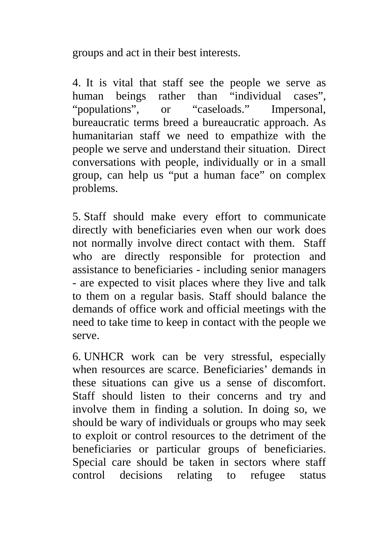groups and act in their best interests.

4. It is vital that staff see the people we serve as human beings rather than "individual cases", "populations", or "caseloads." Impersonal, bureaucratic terms breed a bureaucratic approach. As humanitarian staff we need to empathize with the people we serve and understand their situation. Direct conversations with people, individually or in a small group, can help us "put a human face" on complex problems.

5. Staff should make every effort to communicate directly with beneficiaries even when our work does not normally involve direct contact with them. Staff who are directly responsible for protection and assistance to beneficiaries - including senior managers - are expected to visit places where they live and talk to them on a regular basis. Staff should balance the demands of office work and official meetings with the need to take time to keep in contact with the people we serve.

6. UNHCR work can be very stressful, especially when resources are scarce. Beneficiaries' demands in these situations can give us a sense of discomfort. Staff should listen to their concerns and try and involve them in finding a solution. In doing so, we should be wary of individuals or groups who may seek to exploit or control resources to the detriment of the beneficiaries or particular groups of beneficiaries. Special care should be taken in sectors where staff control decisions relating to refugee status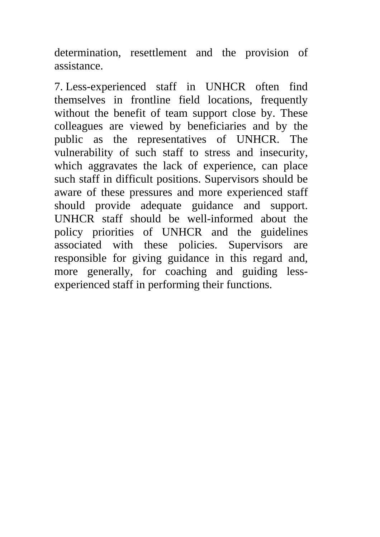determination, resettlement and the provision of assistance.

7. Less-experienced staff in UNHCR often find themselves in frontline field locations, frequently without the benefit of team support close by. These colleagues are viewed by beneficiaries and by the public as the representatives of UNHCR. The vulnerability of such staff to stress and insecurity, which aggravates the lack of experience, can place such staff in difficult positions. Supervisors should be aware of these pressures and more experienced staff should provide adequate guidance and support. UNHCR staff should be well-informed about the policy priorities of UNHCR and the guidelines associated with these policies. Supervisors are responsible for giving guidance in this regard and, more generally, for coaching and guiding lessexperienced staff in performing their functions.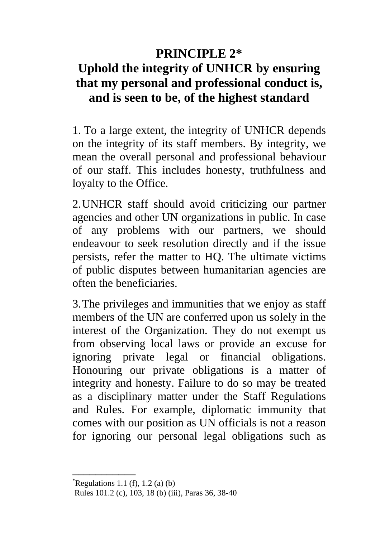# **PRINCIPLE 2\* Uphold the integrity of UNHCR by ensuring that my personal and professional conduct is, and is seen to be, of the highest standard**

1. To a large extent, the integrity of UNHCR depends on the integrity of its staff members. By integrity, we mean the overall personal and professional behaviour of our staff. This includes honesty, truthfulness and loyalty to the Office.

2.UNHCR staff should avoid criticizing our partner agencies and other UN organizations in public. In case of any problems with our partners, we should endeavour to seek resolution directly and if the issue persists, refer the matter to HQ. The ultimate victims of public disputes between humanitarian agencies are often the beneficiaries.

3.The privileges and immunities that we enjoy as staff members of the UN are conferred upon us solely in the interest of the Organization. They do not exempt us from observing local laws or provide an excuse for ignoring private legal or financial obligations. Honouring our private obligations is a matter of integrity and honesty. Failure to do so may be treated as a disciplinary matter under the Staff Regulations and Rules. For example, diplomatic immunity that comes with our position as UN officials is not a reason for ignoring our personal legal obligations such as

 $R$ egulations 1.1 (f), 1.2 (a) (b)

Rules 101.2 (c), 103, 18 (b) (iii), Paras 36, 38-40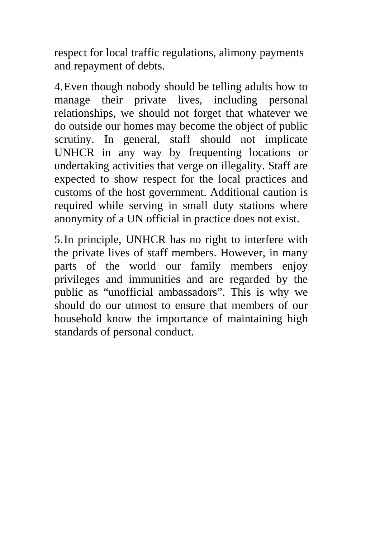respect for local traffic regulations, alimony payments and repayment of debts.

4. Even though nobody should be telling adults how to manage their private lives, including personal relationships, we should not forget that whatever we do outside our homes may become the object of public scrutiny. In general, staff should not implicate UNHCR in any way by frequenting locations or undertaking activities that verge on illegality. Staff are expected to show respect for the local practices and customs of the host government. Additional caution is required while serving in small duty stations where anonymity of a UN official in practice does not exist.

5. In principle, UNHCR has no right to interfere with the private lives of staff members. However, in many parts of the world our family members enjoy privileges and immunities and are regarded by the public as "unofficial ambassadors". This is why we should do our utmost to ensure that members of our household know the importance of maintaining high standards of personal conduct.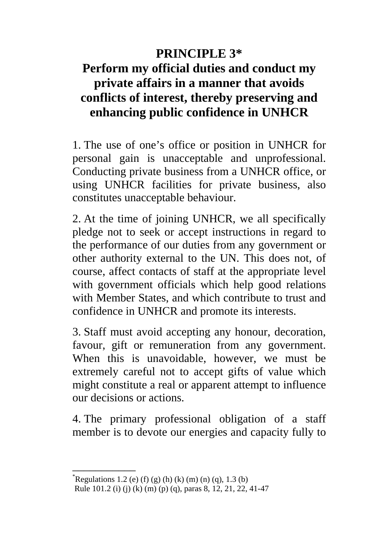### **PRINCIPLE 3\***

# **Perform my official duties and conduct my private affairs in a manner that avoids conflicts of interest, thereby preserving and enhancing public confidence in UNHCR**

1. The use of one's office or position in UNHCR for personal gain is unacceptable and unprofessional. Conducting private business from a UNHCR office, or using UNHCR facilities for private business, also constitutes unacceptable behaviour.

2. At the time of joining UNHCR, we all specifically pledge not to seek or accept instructions in regard to the performance of our duties from any government or other authority external to the UN. This does not, of course, affect contacts of staff at the appropriate level with government officials which help good relations with Member States, and which contribute to trust and confidence in UNHCR and promote its interests.

3. Staff must avoid accepting any honour, decoration, favour, gift or remuneration from any government. When this is unavoidable, however, we must be extremely careful not to accept gifts of value which might constitute a real or apparent attempt to influence our decisions or actions.

4. The primary professional obligation of a staff member is to devote our energies and capacity fully to

Regulations 1.2 (e) (f) (g) (h) (k) (m) (n) (q), 1.3 (b)

Rule 101.2 (i) (j) (k) (m) (p) (q), paras 8, 12, 21, 22, 41-47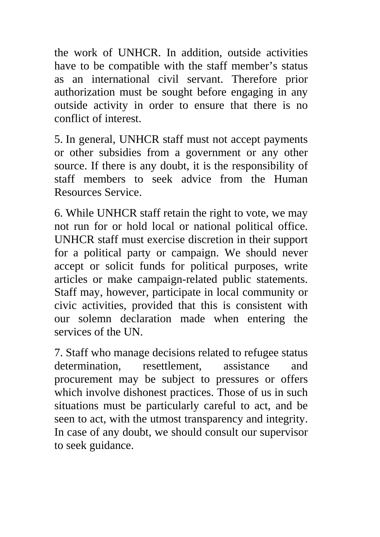the work of UNHCR. In addition, outside activities have to be compatible with the staff member's status as an international civil servant. Therefore prior authorization must be sought before engaging in any outside activity in order to ensure that there is no conflict of interest.

5. In general, UNHCR staff must not accept payments or other subsidies from a government or any other source. If there is any doubt, it is the responsibility of staff members to seek advice from the Human Resources Service.

6. While UNHCR staff retain the right to vote, we may not run for or hold local or national political office. UNHCR staff must exercise discretion in their support for a political party or campaign. We should never accept or solicit funds for political purposes, write articles or make campaign-related public statements. Staff may, however, participate in local community or civic activities, provided that this is consistent with our solemn declaration made when entering the services of the UN.

7. Staff who manage decisions related to refugee status determination, resettlement, assistance and procurement may be subject to pressures or offers which involve dishonest practices. Those of us in such situations must be particularly careful to act, and be seen to act, with the utmost transparency and integrity. In case of any doubt, we should consult our supervisor to seek guidance.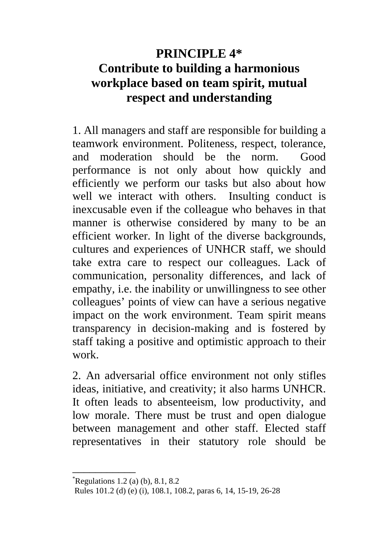# **PRINCIPLE 4\* Contribute to building a harmonious workplace based on team spirit, mutual respect and understanding**

1. All managers and staff are responsible for building a teamwork environment. Politeness, respect, tolerance, and moderation should be the norm. Good performance is not only about how quickly and efficiently we perform our tasks but also about how well we interact with others. Insulting conduct is inexcusable even if the colleague who behaves in that manner is otherwise considered by many to be an efficient worker. In light of the diverse backgrounds, cultures and experiences of UNHCR staff, we should take extra care to respect our colleagues. Lack of communication, personality differences, and lack of empathy, i.e. the inability or unwillingness to see other colleagues' points of view can have a serious negative impact on the work environment. Team spirit means transparency in decision-making and is fostered by staff taking a positive and optimistic approach to their work.

2. An adversarial office environment not only stifles ideas, initiative, and creativity; it also harms UNHCR. It often leads to absenteeism, low productivity, and low morale. There must be trust and open dialogue between management and other staff. Elected staff representatives in their statutory role should be

 $R$ egulations 1.2 (a) (b), 8.1, 8.2

Rules 101.2 (d) (e) (i), 108.1, 108.2, paras 6, 14, 15-19, 26-28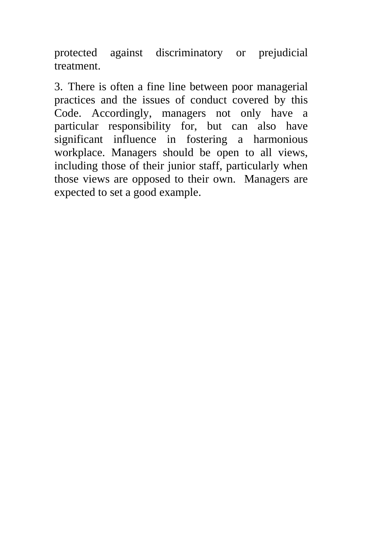protected against discriminatory or prejudicial treatment.

3. There is often a fine line between poor managerial practices and the issues of conduct covered by this Code. Accordingly, managers not only have a particular responsibility for, but can also have significant influence in fostering a harmonious workplace. Managers should be open to all views, including those of their junior staff, particularly when those views are opposed to their own. Managers are expected to set a good example.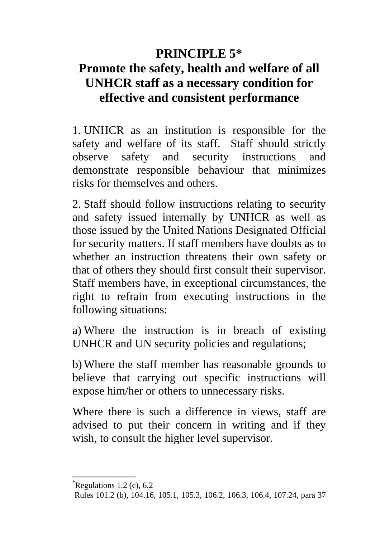### **PRINCIPLE 5\***

# **Promote the safety, health and welfare of all UNHCR staff as a necessary condition for effective and consistent performance**

1. UNHCR as an institution is responsible for the safety and welfare of its staff. Staff should strictly observe safety and security instructions and demonstrate responsible behaviour that minimizes risks for themselves and others.

2. Staff should follow instructions relating to security and safety issued internally by UNHCR as well as those issued by the United Nations Designated Official for security matters. If staff members have doubts as to whether an instruction threatens their own safety or that of others they should first consult their supervisor. Staff members have, in exceptional circumstances, the right to refrain from executing instructions in the following situations:

a) Where the instruction is in breach of existing UNHCR and UN security policies and regulations;

b) Where the staff member has reasonable grounds to believe that carrying out specific instructions will expose him/her or others to unnecessary risks.

Where there is such a difference in views, staff are advised to put their concern in writing and if they wish, to consult the higher level supervisor.

Regulations 1.2 (c),  $6.2$ 

Rules 101.2 (b), 104.16, 105.1, 105.3, 106.2, 106.3, 106.4, 107.24, para 37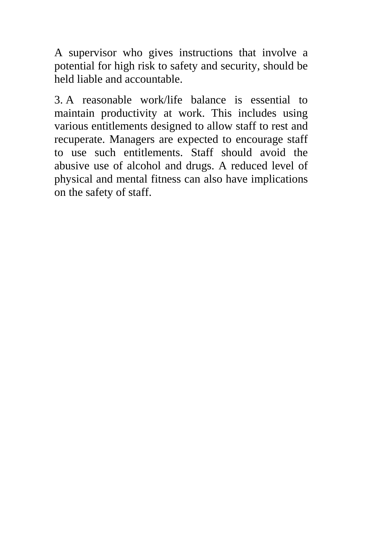A supervisor who gives instructions that involve a potential for high risk to safety and security, should be held liable and accountable.

3. A reasonable work/life balance is essential to maintain productivity at work. This includes using various entitlements designed to allow staff to rest and recuperate. Managers are expected to encourage staff to use such entitlements. Staff should avoid the abusive use of alcohol and drugs. A reduced level of physical and mental fitness can also have implications on the safety of staff.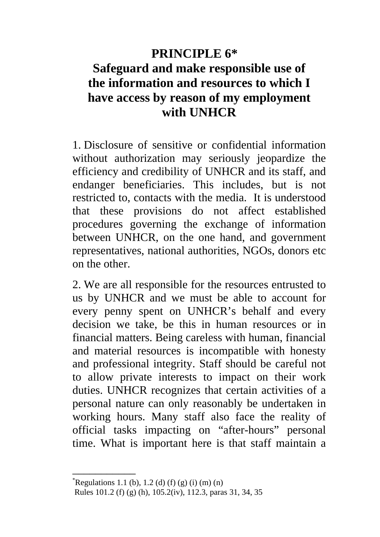### **PRINCIPLE 6\***

### **Safeguard and make responsible use of the information and resources to which I have access by reason of my employment with UNHCR**

1. Disclosure of sensitive or confidential information without authorization may seriously jeopardize the efficiency and credibility of UNHCR and its staff, and endanger beneficiaries. This includes, but is not restricted to, contacts with the media. It is understood that these provisions do not affect established procedures governing the exchange of information between UNHCR, on the one hand, and government representatives, national authorities, NGOs, donors etc on the other.

2. We are all responsible for the resources entrusted to us by UNHCR and we must be able to account for every penny spent on UNHCR's behalf and every decision we take, be this in human resources or in financial matters. Being careless with human, financial and material resources is incompatible with honesty and professional integrity. Staff should be careful not to allow private interests to impact on their work duties. UNHCR recognizes that certain activities of a personal nature can only reasonably be undertaken in working hours. Many staff also face the reality of official tasks impacting on "after-hours" personal time. What is important here is that staff maintain a

 $R$ egulations 1.1 (b), 1.2 (d) (f) (g) (i) (m) (n)

Rules 101.2 (f) (g) (h), 105.2(iv), 112.3, paras 31, 34, 35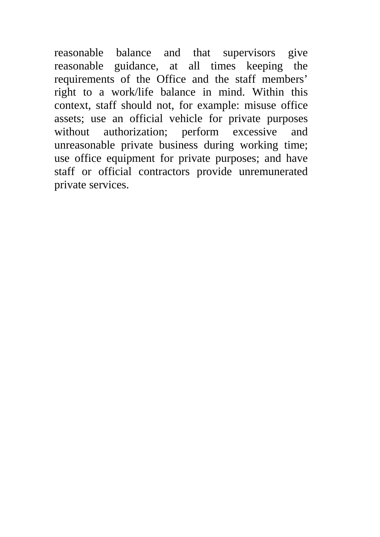reasonable balance and that supervisors give reasonable guidance, at all times keeping the requirements of the Office and the staff members' right to a work/life balance in mind. Within this context, staff should not, for example: misuse office assets; use an official vehicle for private purposes without authorization; perform excessive and unreasonable private business during working time; use office equipment for private purposes; and have staff or official contractors provide unremunerated private services.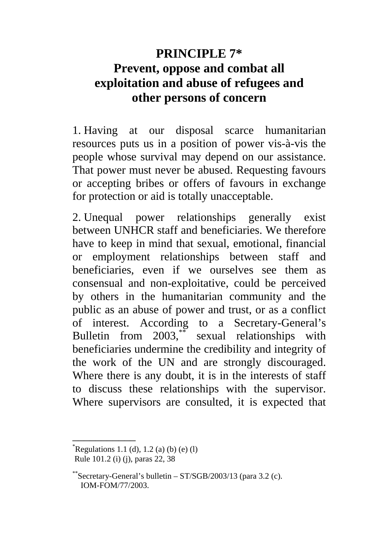## **PRINCIPLE 7\* Prevent, oppose and combat all exploitation and abuse of refugees and other persons of concern**

1. Having at our disposal scarce humanitarian resources puts us in a position of power vis-à-vis the people whose survival may depend on our assistance. That power must never be abused. Requesting favours or accepting bribes or offers of favours in exchange for protection or aid is totally unacceptable.

2. Unequal power relationships generally exist between UNHCR staff and beneficiaries. We therefore have to keep in mind that sexual, emotional, financial or employment relationships between staff and beneficiaries, even if we ourselves see them as consensual and non-exploitative, could be perceived by others in the humanitarian community and the public as an abuse of power and trust, or as a conflict of interest. According to a Secretary-General's Bulletin from 2003,\*\* sexual relationships with beneficiaries undermine the credibility and integrity of the work of the UN and are strongly discouraged. Where there is any doubt, it is in the interests of staff to discuss these relationships with the supervisor. Where supervisors are consulted, it is expected that

 $R$ egulations 1.1 (d), 1.2 (a) (b) (e) (l) Rule 101.2 (i) (j), paras 22, 38

Secretary-General's bulletin –  $ST/SGB/2003/13$  (para 3.2 (c). IOM-FOM/77/2003.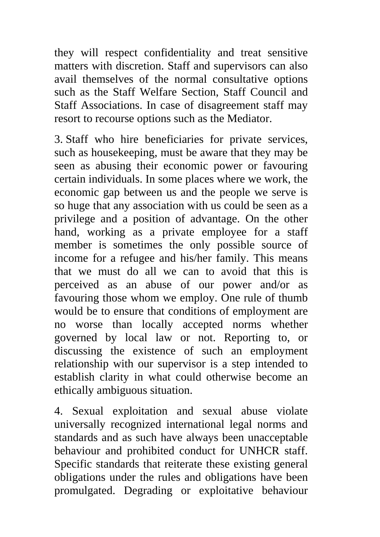they will respect confidentiality and treat sensitive matters with discretion. Staff and supervisors can also avail themselves of the normal consultative options such as the Staff Welfare Section, Staff Council and Staff Associations. In case of disagreement staff may resort to recourse options such as the Mediator.

3. Staff who hire beneficiaries for private services, such as housekeeping, must be aware that they may be seen as abusing their economic power or favouring certain individuals. In some places where we work, the economic gap between us and the people we serve is so huge that any association with us could be seen as a privilege and a position of advantage. On the other hand, working as a private employee for a staff member is sometimes the only possible source of income for a refugee and his/her family. This means that we must do all we can to avoid that this is perceived as an abuse of our power and/or as favouring those whom we employ. One rule of thumb would be to ensure that conditions of employment are no worse than locally accepted norms whether governed by local law or not. Reporting to, or discussing the existence of such an employment relationship with our supervisor is a step intended to establish clarity in what could otherwise become an ethically ambiguous situation.

4. Sexual exploitation and sexual abuse violate universally recognized international legal norms and standards and as such have always been unacceptable behaviour and prohibited conduct for UNHCR staff. Specific standards that reiterate these existing general obligations under the rules and obligations have been promulgated. Degrading or exploitative behaviour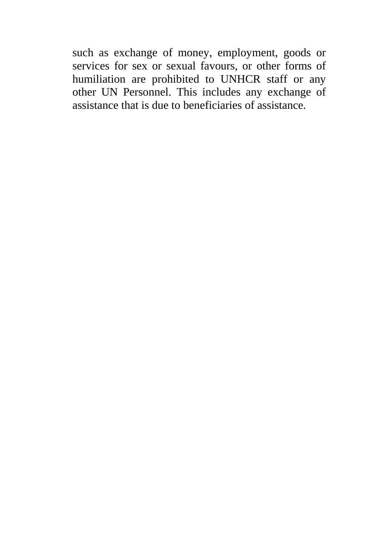such as exchange of money, employment, goods or services for sex or sexual favours, or other forms of humiliation are prohibited to UNHCR staff or any other UN Personnel. This includes any exchange of assistance that is due to beneficiaries of assistance.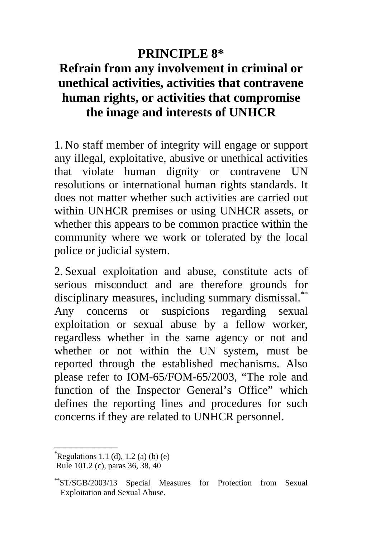### **PRINCIPLE 8\***

### **Refrain from any involvement in criminal or unethical activities, activities that contravene human rights, or activities that compromise the image and interests of UNHCR**

1. No staff member of integrity will engage or support any illegal, exploitative, abusive or unethical activities that violate human dignity or contravene UN resolutions or international human rights standards. It does not matter whether such activities are carried out within UNHCR premises or using UNHCR assets, or whether this appears to be common practice within the community where we work or tolerated by the local police or judicial system.

2. Sexual exploitation and abuse, constitute acts of serious misconduct and are therefore grounds for disciplinary measures, including summary dismissal.\*\* Any concerns or suspicions regarding sexual exploitation or sexual abuse by a fellow worker, regardless whether in the same agency or not and whether or not within the UN system, must be reported through the established mechanisms. Also please refer to IOM-65/FOM-65/2003, "The role and function of the Inspector General's Office" which defines the reporting lines and procedures for such concerns if they are related to UNHCR personnel.

 $R$ egulations 1.1 (d), 1.2 (a) (b) (e)

Rule 101.2 (c), paras 36, 38, 40

<sup>\*\*</sup>ST/SGB/2003/13 Special Measures for Protection from Sexual Exploitation and Sexual Abuse.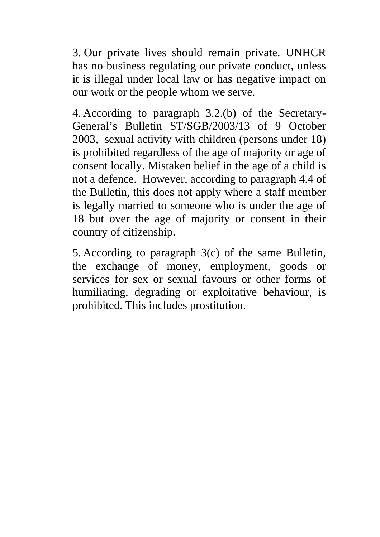3. Our private lives should remain private. UNHCR has no business regulating our private conduct, unless it is illegal under local law or has negative impact on our work or the people whom we serve.

4. According to paragraph 3.2.(b) of the Secretary-General's Bulletin ST/SGB/2003/13 of 9 October 2003, sexual activity with children (persons under 18) is prohibited regardless of the age of majority or age of consent locally. Mistaken belief in the age of a child is not a defence. However, according to paragraph 4.4 of the Bulletin, this does not apply where a staff member is legally married to someone who is under the age of 18 but over the age of majority or consent in their country of citizenship.

5. According to paragraph 3(c) of the same Bulletin, the exchange of money, employment, goods or services for sex or sexual favours or other forms of humiliating, degrading or exploitative behaviour, is prohibited. This includes prostitution.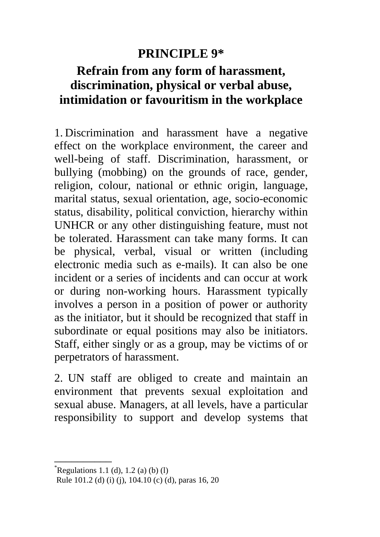### **PRINCIPLE 9\***

### **Refrain from any form of harassment, discrimination, physical or verbal abuse, intimidation or favouritism in the workplace**

1. Discrimination and harassment have a negative effect on the workplace environment, the career and well-being of staff. Discrimination, harassment, or bullying (mobbing) on the grounds of race, gender, religion, colour, national or ethnic origin, language, marital status, sexual orientation, age, socio-economic status, disability, political conviction, hierarchy within UNHCR or any other distinguishing feature, must not be tolerated. Harassment can take many forms. It can be physical, verbal, visual or written (including electronic media such as e-mails). It can also be one incident or a series of incidents and can occur at work or during non-working hours. Harassment typically involves a person in a position of power or authority as the initiator, but it should be recognized that staff in subordinate or equal positions may also be initiators. Staff, either singly or as a group, may be victims of or perpetrators of harassment.

2. UN staff are obliged to create and maintain an environment that prevents sexual exploitation and sexual abuse. Managers, at all levels, have a particular responsibility to support and develop systems that

 $R$ egulations 1.1 (d), 1.2 (a) (b) (l)

Rule 101.2 (d) (i) (j), 104.10 (c) (d), paras 16, 20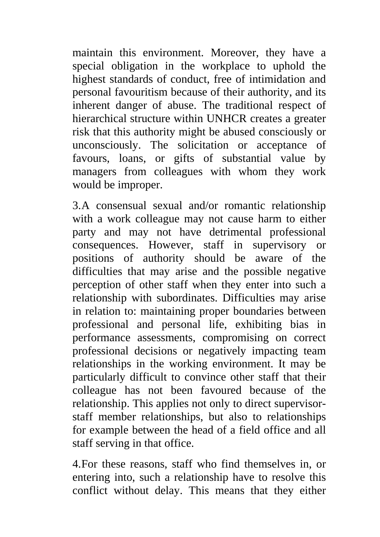maintain this environment. Moreover, they have a special obligation in the workplace to uphold the highest standards of conduct, free of intimidation and personal favouritism because of their authority, and its inherent danger of abuse. The traditional respect of hierarchical structure within UNHCR creates a greater risk that this authority might be abused consciously or unconsciously. The solicitation or acceptance of favours, loans, or gifts of substantial value by managers from colleagues with whom they work would be improper.

3.A consensual sexual and/or romantic relationship with a work colleague may not cause harm to either party and may not have detrimental professional consequences. However, staff in supervisory or positions of authority should be aware of the difficulties that may arise and the possible negative perception of other staff when they enter into such a relationship with subordinates. Difficulties may arise in relation to: maintaining proper boundaries between professional and personal life, exhibiting bias in performance assessments, compromising on correct professional decisions or negatively impacting team relationships in the working environment. It may be particularly difficult to convince other staff that their colleague has not been favoured because of the relationship. This applies not only to direct supervisorstaff member relationships, but also to relationships for example between the head of a field office and all staff serving in that office.

4.For these reasons, staff who find themselves in, or entering into, such a relationship have to resolve this conflict without delay. This means that they either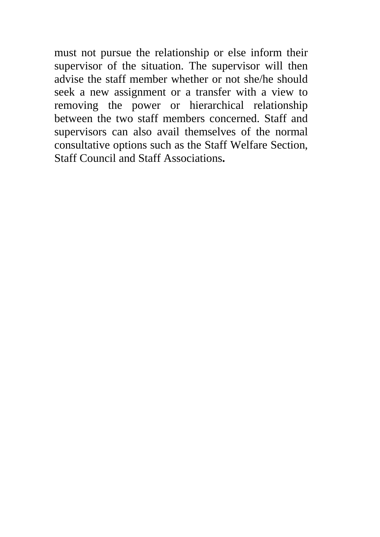must not pursue the relationship or else inform their supervisor of the situation. The supervisor will then advise the staff member whether or not she/he should seek a new assignment or a transfer with a view to removing the power or hierarchical relationship between the two staff members concerned. Staff and supervisors can also avail themselves of the normal consultative options such as the Staff Welfare Section, Staff Council and Staff Associations**.**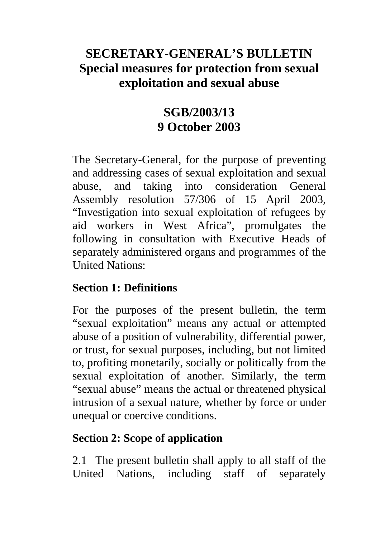### **SECRETARY-GENERAL'S BULLETIN Special measures for protection from sexual exploitation and sexual abuse**

### **SGB/2003/13 9 October 2003**

The Secretary-General, for the purpose of preventing and addressing cases of sexual exploitation and sexual abuse, and taking into consideration General Assembly resolution 57/306 of 15 April 2003, "Investigation into sexual exploitation of refugees by aid workers in West Africa", promulgates the following in consultation with Executive Heads of separately administered organs and programmes of the United Nations:

### **Section 1: Definitions**

For the purposes of the present bulletin, the term "sexual exploitation" means any actual or attempted abuse of a position of vulnerability, differential power, or trust, for sexual purposes, including, but not limited to, profiting monetarily, socially or politically from the sexual exploitation of another. Similarly, the term "sexual abuse" means the actual or threatened physical intrusion of a sexual nature, whether by force or under unequal or coercive conditions.

### **Section 2: Scope of application**

2.1 The present bulletin shall apply to all staff of the United Nations, including staff of separately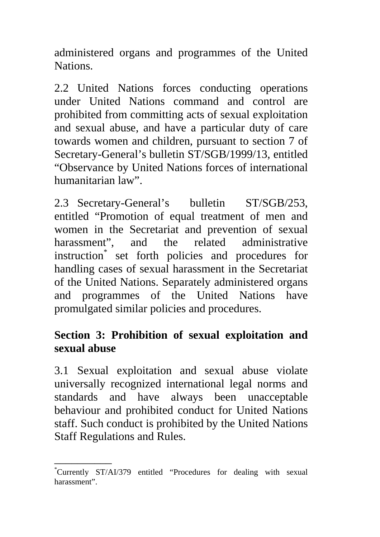administered organs and programmes of the United Nations.

2.2 United Nations forces conducting operations under United Nations command and control are prohibited from committing acts of sexual exploitation and sexual abuse, and have a particular duty of care towards women and children, pursuant to section 7 of Secretary-General's bulletin ST/SGB/1999/13, entitled "Observance by United Nations forces of international humanitarian law".

2.3 Secretary-General's bulletin ST/SGB/253, entitled "Promotion of equal treatment of men and women in the Secretariat and prevention of sexual harassment", and the related administrative instruction\* set forth policies and procedures for handling cases of sexual harassment in the Secretariat of the United Nations. Separately administered organs and programmes of the United Nations have promulgated similar policies and procedures.

#### **Section 3: Prohibition of sexual exploitation and sexual abuse**

3.1 Sexual exploitation and sexual abuse violate universally recognized international legal norms and standards and have always been unacceptable behaviour and prohibited conduct for United Nations staff. Such conduct is prohibited by the United Nations Staff Regulations and Rules.

<sup>\*</sup>Currently ST/AI/379 entitled "Procedures for dealing with sexual harassment".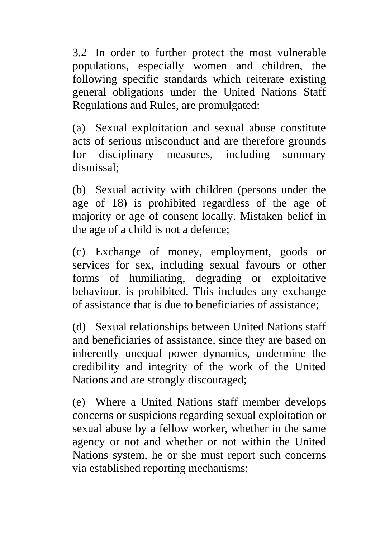3.2 In order to further protect the most vulnerable populations, especially women and children, the following specific standards which reiterate existing general obligations under the United Nations Staff Regulations and Rules, are promulgated:

(a) Sexual exploitation and sexual abuse constitute acts of serious misconduct and are therefore grounds for disciplinary measures, including summary dismissal;

(b) Sexual activity with children (persons under the age of 18) is prohibited regardless of the age of majority or age of consent locally. Mistaken belief in the age of a child is not a defence;

(c) Exchange of money, employment, goods or services for sex, including sexual favours or other forms of humiliating, degrading or exploitative behaviour, is prohibited. This includes any exchange of assistance that is due to beneficiaries of assistance;

(d) Sexual relationships between United Nations staff and beneficiaries of assistance, since they are based on inherently unequal power dynamics, undermine the credibility and integrity of the work of the United Nations and are strongly discouraged;

(e) Where a United Nations staff member develops concerns or suspicions regarding sexual exploitation or sexual abuse by a fellow worker, whether in the same agency or not and whether or not within the United Nations system, he or she must report such concerns via established reporting mechanisms;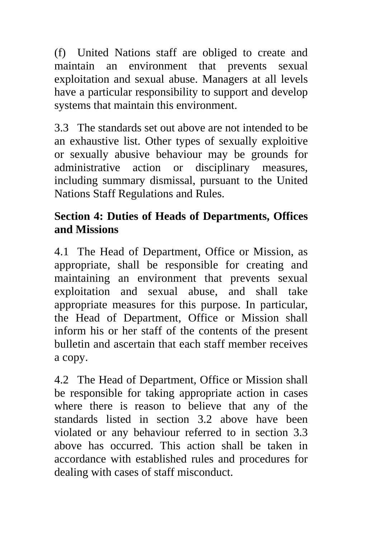(f) United Nations staff are obliged to create and maintain an environment that prevents sexual exploitation and sexual abuse. Managers at all levels have a particular responsibility to support and develop systems that maintain this environment.

3.3 The standards set out above are not intended to be an exhaustive list. Other types of sexually exploitive or sexually abusive behaviour may be grounds for administrative action or disciplinary measures, including summary dismissal, pursuant to the United Nations Staff Regulations and Rules.

### **Section 4: Duties of Heads of Departments, Offices and Missions**

4.1 The Head of Department, Office or Mission, as appropriate, shall be responsible for creating and maintaining an environment that prevents sexual exploitation and sexual abuse, and shall take appropriate measures for this purpose. In particular, the Head of Department, Office or Mission shall inform his or her staff of the contents of the present bulletin and ascertain that each staff member receives a copy.

4.2 The Head of Department, Office or Mission shall be responsible for taking appropriate action in cases where there is reason to believe that any of the standards listed in section 3.2 above have been violated or any behaviour referred to in section 3.3 above has occurred. This action shall be taken in accordance with established rules and procedures for dealing with cases of staff misconduct.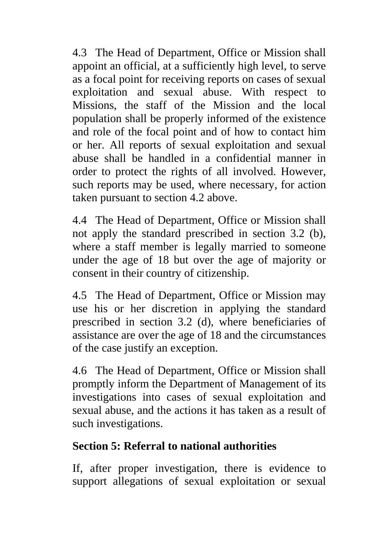4.3 The Head of Department, Office or Mission shall appoint an official, at a sufficiently high level, to serve as a focal point for receiving reports on cases of sexual exploitation and sexual abuse. With respect to Missions, the staff of the Mission and the local population shall be properly informed of the existence and role of the focal point and of how to contact him or her. All reports of sexual exploitation and sexual abuse shall be handled in a confidential manner in order to protect the rights of all involved. However, such reports may be used, where necessary, for action taken pursuant to section 4.2 above.

4.4 The Head of Department, Office or Mission shall not apply the standard prescribed in section 3.2 (b), where a staff member is legally married to some one under the age of 18 but over the age of majority or consent in their country of citizenship.

4.5 The Head of Department, Office or Mission may use his or her discretion in applying the standard prescribed in section 3.2 (d), where beneficiaries of assistance are over the age of 18 and the circumstances of the case justify an exception.

4.6 The Head of Department, Office or Mission shall promptly inform the Department of Management of its investigations into cases of sexual exploitation and sexual abuse, and the actions it has taken as a result of such investigations.

### **Section 5: Referral to national authorities**

If, after proper investigation, there is evidence to support allegations of sexual exploitation or sexual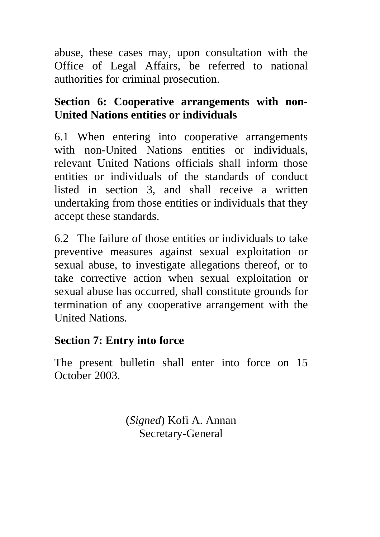abuse, these cases may, upon consultation with the Office of Legal Affairs, be referred to national authorities for criminal prosecution.

### **Section 6: Cooperative arrangements with non-United Nations entities or individuals**

6.1 When entering into cooperative arrangements with non-United Nations entities or individuals, relevant United Nations officials shall inform those entities or individuals of the standards of conduct listed in section 3, and shall receive a written undertaking from those entities or individuals that they accept these standards.

6.2 The failure of those entities or individuals to take preventive measures against sexual exploitation or sexual abuse, to investigate allegations thereof, or to take corrective action when sexual exploitation or sexual abuse has occurred, shall constitute grounds for termination of any cooperative arrangement with the United Nations.

#### **Section 7: Entry into force**

The present bulletin shall enter into force on 15 October 2003.

> (*Signed*) Kofi A. Annan Secretary-General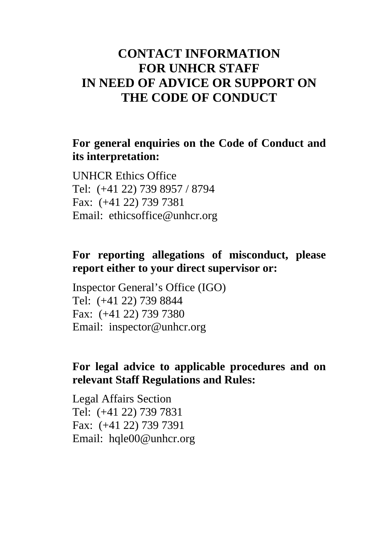### **CONTACT INFORMATION FOR UNHCR STAFF IN NEED OF ADVICE OR SUPPORT ON THE CODE OF CONDUCT**

#### **For general enquiries on the Code of Conduct and its interpretation:**

UNHCR Ethics Office Tel: (+41 22) 739 8957 / 8794 Fax: (+41 22) 739 7381 Email: ethicsoffice@unhcr.org

#### **For reporting allegations of misconduct, please report either to your direct supervisor or:**

Inspector General's Office (IGO) Tel: (+41 22) 739 8844 Fax: (+41 22) 739 7380 Email: inspector@unhcr.org

#### **For legal advice to applicable procedures and on relevant Staff Regulations and Rules:**

Legal Affairs Section Tel: (+41 22) 739 7831 Fax: (+41 22) 739 7391 Email: hqle00@unhcr.org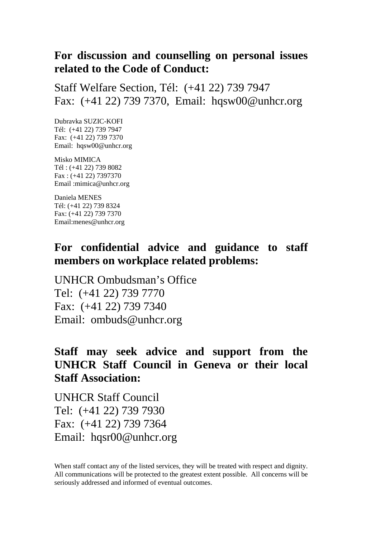#### **For discussion and counselling on personal issues related to the Code of Conduct:**

Staff Welfare Section, Tél: (+41 22) 739 7947 Fax: (+41 22) 739 7370, Email: hqsw00@unhcr.org

Dubravka SUZIC-KOFI Tél: (+41 22) 739 7947 Fax: (+41 22) 739 7370 Email: hqsw00@unhcr.org

Misko MIMICA Tél : (+41 22) 739 8082 Fax : (+41 22) 7397370 Email :mimica@unhcr.org

Daniela MENES Tél: (+41 22) 739 8324 Fax: (+41 22) 739 7370 Email:menes@unhcr.org

#### **For confidential advice and guidance to staff members on workplace related problems:**

UNHCR Ombudsman's Office Tel: (+41 22) 739 7770 Fax: (+41 22) 739 7340 Email: ombuds@unhcr.org

#### **Staff may seek advice and support from the UNHCR Staff Council in Geneva or their local Staff Association:**

UNHCR Staff Council Tel: (+41 22) 739 7930 Fax: (+41 22) 739 7364 Email: hqsr00@unhcr.org

When staff contact any of the listed services, they will be treated with respect and dignity. All communications will be protected to the greatest extent possible. All concerns will be seriously addressed and informed of eventual outcomes.